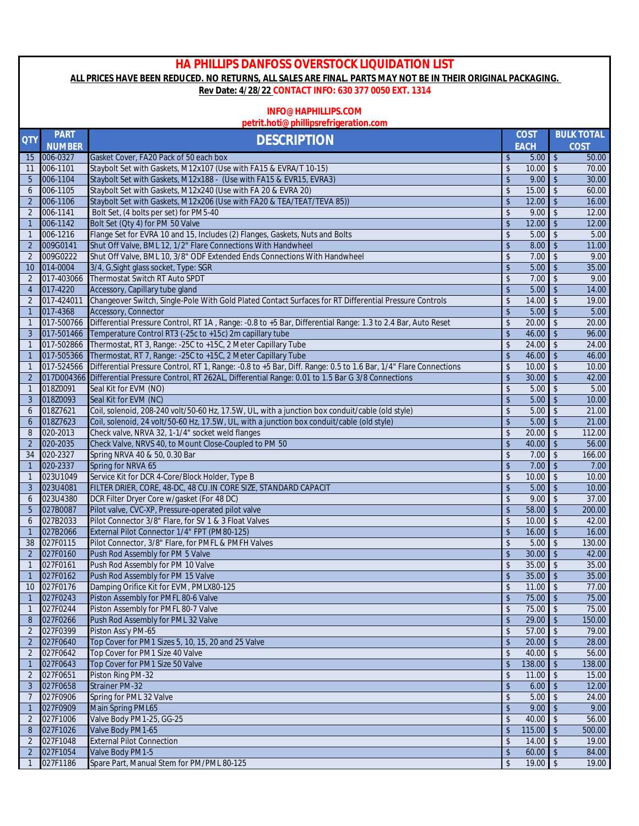## **HA PHILLIPS DANFOSS OVERSTOCK LIQUIDATION LIST ALL PRICES HAVE BEEN REDUCED. NO RETURNS, ALL SALES ARE FINAL. PARTS MAY NOT BE IN THEIR ORIGINAL PACKAGING.**

## **Rev Date: 4/28/22 CONTACT INFO: 630 377 0050 EXT. 1314**

## **INFO@HAPHILLIPS.COM**

## **petrit.hoti@phillipsrefrigeration.com**

| <b>QTY</b>     | <b>PART</b><br><b>NUMBER</b> | <b>DESCRIPTION</b>                                                                                              |                                 | <b>COST</b><br><b>EACH</b> |                         | <b>BULK TOTAL</b><br>COST |
|----------------|------------------------------|-----------------------------------------------------------------------------------------------------------------|---------------------------------|----------------------------|-------------------------|---------------------------|
| 15             | 006-0327                     | Gasket Cover, FA20 Pack of 50 each box                                                                          | $\sqrt[6]{\frac{1}{2}}$         | 5.00                       | $\sqrt[6]{2}$           | 50.00                     |
| 11             | 006-1101                     | Staybolt Set with Gaskets, M12x107 (Use with FA15 & EVRA/T 10-15)                                               | \$                              | 10.00                      | $\mathsf{\$}$           | 70.00                     |
| 5              | 006-1104                     | Staybolt Set with Gaskets, M12x188 - (Use with FA15 & EVR15, EVRA3)                                             | \$                              | 9.00                       | $\mathbf{\hat{S}}$      | 30.00                     |
| 6              | 006-1105                     | Staybolt Set with Gaskets, M12x240 (Use with FA 20 & EVRA 20)                                                   | \$                              | 15.00                      | $\mathsf{\$}$           | 60.00                     |
| $\overline{2}$ | 006-1106                     | Staybolt Set with Gaskets, M12x206 (Use with FA20 & TEA/TEAT/TEVA 85))                                          | $\sqrt[6]{\frac{1}{2}}$         | 12.00                      | $\mathbf{\hat{S}}$      | 16.00                     |
| $\overline{2}$ | 006-1141                     | Bolt Set, (4 bolts per set) for PM5-40                                                                          | \$                              | 9.00                       | $\sqrt{2}$              | 12.00                     |
| $\overline{1}$ | 006-1142                     | Bolt Set (Qty 4) for PM 50 Valve                                                                                | \$                              | 12.00                      | $\mathbf{\hat{S}}$      | 12.00                     |
| $\mathbf{1}$   | 006-1216                     | Flange Set for EVRA 10 and 15, Includes (2) Flanges, Gaskets, Nuts and Bolts                                    | \$                              | 5.00                       | $\mathfrak{L}$          | 5.00                      |
| 2              | 009G0141                     | Shut Off Valve, BML 12, 1/2" Flare Connections With Handwheel                                                   | $\sqrt{2}$                      | 8.00                       | $\mathbf{\hat{S}}$      | 11.00                     |
| $\overline{2}$ | 009G0222                     | Shut Off Valve, BML 10, 3/8" ODF Extended Ends Connections With Handwheel                                       | \$                              | 7.00                       | $\sqrt{2}$              | 9.00                      |
| 10             | 014-0004                     | 3/4, G, Sight glass socket, Type: SGR                                                                           | \$                              | 5.00                       | $\mathbf{\hat{S}}$      | 35.00                     |
| $\overline{2}$ | 017-403066                   | Thermostat Switch RT Auto SPDT                                                                                  | \$                              | 7.00                       | $\mathfrak{L}$          | 9.00                      |
| $\overline{4}$ | 017-4220                     | Accessory, Capillary tube gland                                                                                 | $\sqrt{2}$                      | 5.00                       | $\mathbf{\hat{S}}$      | 14.00                     |
| $\overline{2}$ | 017-424011                   | Changeover Switch, Single-Pole With Gold Plated Contact Surfaces for RT Differential Pressure Controls          | \$                              | 14.00                      | $\sqrt{2}$              | 19.00                     |
| $\overline{1}$ | 017-4368                     | Accessory, Connector                                                                                            | \$                              | 5.00                       | $\sqrt{2}$              | 5.00                      |
| $\overline{1}$ | 017-500766                   | Differential Pressure Control, RT 1A, Range: - 0.8 to +5 Bar, Differential Range: 1.3 to 2.4 Bar, Auto Reset    | \$                              | 20.00                      | $\sqrt{2}$              | 20.00                     |
| 3              | 017-501466                   | Temperature Control RT3 (-25c to +15c) 2m capillary tube                                                        | $\sqrt[6]{\frac{1}{2}}$         | 46.00                      | $\mathbf{\hat{S}}$      | 96.00                     |
| $\overline{1}$ | 017-502866                   | Thermostat, RT 3, Range: -25C to +15C, 2 Meter Capillary Tube                                                   | \$                              | 24.00                      | $\sqrt{2}$              | 24.00                     |
| $\overline{1}$ | 017-505366                   | Thermostat, RT 7, Range: -25C to +15C, 2 Meter Capillary Tube                                                   | $\sqrt[6]{\frac{1}{2}}$         | 46.00                      | $\mathbf{\hat{S}}$      | 46.00                     |
| $\overline{1}$ | 017-524566                   | Differential Pressure Control, RT 1, Range: -0.8 to +5 Bar, Diff. Range: 0.5 to 1.6 Bar, 1/4" Flare Connections | $\sqrt[6]{\frac{1}{2}}$         | 10.00                      | $\mathfrak{L}$          | 10.00                     |
| 2              |                              | 017D004366 Differential Pressure Control, RT 262AL, Differential Range: 0.01 to 1.5 Bar G 3/8 Connections       | $\sqrt[6]{\frac{1}{2}}$         | 30.00                      | $\mathsf{\$}$           | 42.00                     |
| $\mathbf{1}$   | 018Z0091                     | Seal Kit for EVM (NO)                                                                                           | \$                              | 5.00                       | $\mathbf{\hat{S}}$      | 5.00                      |
| 3              | 018Z0093                     | Seal Kit for EVM (NC)                                                                                           | \$                              | 5.00                       | $\mathbb{S}$            | 10.00                     |
| 6              | 018Z7621                     | Coil, solenoid, 208-240 volt/50-60 Hz, 17.5W, UL, with a junction box conduit/cable (old style)                 | \$                              | 5.00                       | $\mathbf{\hat{S}}$      | 21.00                     |
| 6              | 018Z7623                     | Coil, solenoid, 24 volt/50-60 Hz, 17.5W, UL, with a junction box conduit/cable (old style)                      | $\sqrt{2}$                      | 5.00                       | $\mathbb{S}$            | 21.00                     |
| 8              | 020-2013                     | Check valve, NRVA 32, 1-1/4" socket weld flanges                                                                | $\sqrt{2}$                      | 20.00                      | $\mathfrak{L}$          | 112.00                    |
| $\overline{2}$ | 020-2035                     | Check Valve, NRVS 40, to Mount Close-Coupled to PM 50                                                           | \$                              | 40.00                      | $\sqrt{2}$              | 56.00                     |
| 34             | 020-2327                     |                                                                                                                 | \$                              | 7.00                       | $\sqrt{2}$              | 166.00                    |
| $\mathbf{1}$   | 020-2337                     | Spring NRVA 40 & 50, 0.30 Bar<br>Spring for NRVA 65                                                             | $\sqrt[6]{\frac{1}{2}}$         | 7.00                       | $\mathbf{\hat{S}}$      | 7.00                      |
| $\overline{1}$ | 023U1049                     | Service Kit for DCR 4-Core/Block Holder, Type B                                                                 | \$                              | 10.00                      | $\mathsf{\$}$           |                           |
|                |                              |                                                                                                                 | $\sqrt[6]{\frac{1}{2}}$         |                            | $\sqrt{2}$              | 10.00                     |
| 3              | 023U4081                     | FILTER DRIER, CORE, 48-DC, 48 CU.IN CORE SIZE, STANDARD CAPACIT                                                 |                                 | 5.00<br>9.00               | $\mathfrak{L}$          | 10.00                     |
| 6<br>5         | 023U4380<br>027B0087         | DCR Filter Dryer Core w/gasket (For 48 DC)                                                                      | \$<br>\$                        | 58.00                      | $\mathbf{\hat{S}}$      | 37.00<br>200.00           |
| 6              | 027B2033                     | Pilot valve, CVC-XP, Pressure-operated pilot valve<br>Pilot Connector 3/8" Flare, for SV 1 & 3 Float Valves     | $\sqrt{2}$                      | 10.00                      | $\mathfrak{L}$          | 42.00                     |
| $\mathbf{1}$   | 027B2066                     | External Pilot Connector 1/4" FPT (PM80-125)                                                                    | \$                              | 16.00                      | $\mathsf{\$}$           | 16.00                     |
| 38             | 027F0115                     | Pilot Connector, 3/8" Flare, for PMFL & PMFH Valves                                                             | \$                              | 5.00                       | $\sqrt{2}$              | 130.00                    |
| $\overline{2}$ | 027F0160                     | Push Rod Assembly for PM 5 Valve                                                                                | $\sqrt[6]{\frac{1}{2}}$         | 30.00                      | $\mathbf{\hat{S}}$      |                           |
|                | 027F0161                     | Push Rod Assembly for PM 10 Valve                                                                               | $\mathsf{\$}$                   | 35.00                      | $\mathfrak{L}$          | 42.00<br>35.00            |
| $\overline{1}$ | 027F0162                     | Push Rod Assembly for PM 15 Valve                                                                               |                                 | 35.00                      | $\mathbf{\hat{S}}$      | 35.00                     |
| $\overline{1}$ |                              |                                                                                                                 | \$                              |                            |                         |                           |
| 10             | 027F0176<br>1 027F0243       | Damping Orifice Kit for EVM, PMLX80-125<br>Piston Assembly for PMFL 80-6 Valve                                  | \$                              | 11.00<br>$75.00$ \$        | $\sqrt{2}$              | 77.00<br>75.00            |
| $\overline{1}$ |                              |                                                                                                                 | $\,$<br>$\sqrt[6]{\frac{1}{2}}$ |                            | $\sqrt{2}$              | 75.00                     |
|                | 027F0244                     | Piston Assembly for PMFL 80-7 Valve                                                                             |                                 | 75.00                      |                         |                           |
| 8              | 027F0266                     | Push Rod Assembly for PML 32 Valve<br>Piston Ass'y PM-65                                                        | $\sqrt[6]{\frac{1}{2}}$         | 29.00                      | $\sqrt{2}$              | 150.00                    |
| $\overline{2}$ | 027F0399                     |                                                                                                                 | \$                              | 57.00                      | $\sqrt[6]{\frac{1}{2}}$ | 79.00                     |
| $\overline{2}$ | 027F0640                     | Top Cover for PM1 Sizes 5, 10, 15, 20 and 25 Valve                                                              | $\,$                            | 20.00                      | $\sqrt{2}$              | 28.00<br>56.00            |
| 2              | 027F0642                     | Top Cover for PM1 Size 40 Valve                                                                                 | \$                              | 40.00                      | \$                      |                           |
| $\mathbf{1}$   | 027F0643                     | Top Cover for PM1 Size 50 Valve                                                                                 | \$                              | 138.00                     | $\sqrt[6]{2}$           | 138.00                    |
| $\overline{2}$ | 027F0651                     | Piston Ring PM-32                                                                                               | \$                              | 11.00                      | \$                      | 15.00                     |
| $\mathbf{3}$   | 027F0658                     | <b>Strainer PM-32</b>                                                                                           | $\sqrt[6]{2}$                   | 6.00                       | $\mathbf{\hat{S}}$      | 12.00                     |
| $\overline{7}$ | 027F0906                     | Spring for PML 32 Valve                                                                                         | \$                              | 5.00                       | $\mathsf{\$}$           | 24.00                     |
| $\overline{1}$ | 027F0909                     | Main Spring PML65                                                                                               | \$                              | 9.00                       | $\sqrt{2}$              | 9.00                      |
| $\overline{2}$ | 027F1006                     | Valve Body PM1-25, GG-25                                                                                        | \$                              | 40.00                      | \$                      | 56.00                     |
| 8              | 027F1026                     | Valve Body PM1-65                                                                                               | $\frac{1}{2}$                   | 115.00                     | $\sqrt{2}$              | 500.00                    |
| $\overline{2}$ | 027F1048                     | <b>External Pilot Connection</b>                                                                                | \$                              | 14.00                      | $\mathsf{\$}$           | 19.00                     |
| $\overline{2}$ | 027F1054                     | Valve Body PM1-5                                                                                                | $\,$                            | 60.00                      | $\sqrt{2}$              | 84.00                     |
| $\mathbf{1}$   | 027F1186                     | Spare Part, Manual Stem for PM/PML 80-125                                                                       | $\,$                            | 19.00                      | $\sqrt[6]{\frac{1}{2}}$ | 19.00                     |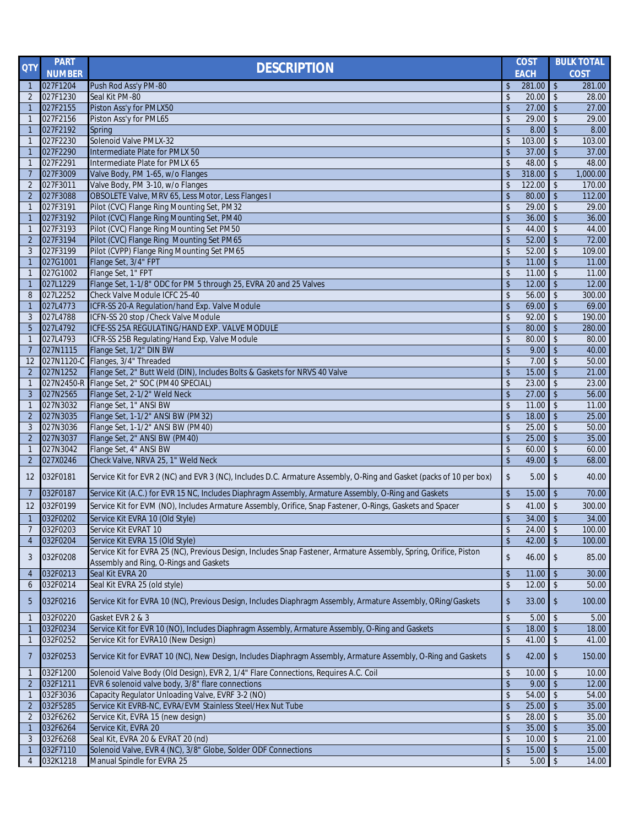| <b>NUMBER</b><br><b>EACH</b><br><b>COST</b><br>$\sqrt[6]{3}$<br>027F1204<br>Push Rod Ass'y PM-80<br>281.00<br>\$<br>281.00<br>$\mathbf{1}$<br>$\sqrt{2}$<br>027F1230<br>Seal Kit PM-80<br>\$<br>20.00<br>28.00<br>2<br>\$<br>027F2155<br>Piston Ass'y for PMLX50<br>27.00<br>$\sqrt{2}$<br>27.00<br>$\mathbf{1}$<br>Piston Ass'y for PML65<br>027F2156<br>\$<br>29.00<br>$\sqrt{2}$<br>29.00<br>$\overline{1}$<br>027F2192<br>\$<br>$\sqrt{2}$<br>8.00<br>8.00<br>Spring<br>$\mathbf{1}$<br>027F2230<br>Solenoid Valve PMLX-32<br>$\sqrt{2}$<br>103.00<br>\$<br>103.00<br>$\mathbf{1}$<br>027F2290<br>Intermediate Plate for PMLX 50<br>\$<br>$\sqrt{2}$<br>37.00<br>37.00<br>$\mathbf{1}$<br>027F2291<br>Intermediate Plate for PMLX 65<br>48.00<br>$\sqrt{2}$<br>\$<br>48.00<br>$\overline{1}$<br>027F3009<br>Valve Body, PM 1-65, w/o Flanges<br>318.00<br>$\sqrt[6]{}$<br>1,000.00<br>\$<br>$\overline{7}$<br>$\sqrt[6]{\frac{1}{2}}$<br>027F3011<br>Valve Body, PM 3-10, w/o Flanges<br>122.00<br>170.00<br>$\overline{2}$<br>\$<br>027F3088<br>OBSOLETE Valve, MRV 65, Less Motor, Less Flanges I<br>80.00<br>$\sqrt{2}$<br>112.00<br>$\overline{2}$<br>\$<br>027F3191<br>Pilot (CVC) Flange Ring Mounting Set, PM32<br>29.00<br>$\sqrt[6]{}$<br>\$<br>29.00<br>$\overline{1}$<br>Pilot (CVC) Flange Ring Mounting Set, PM40<br>027F3192<br>\$<br>$\sqrt{2}$<br>36.00<br>36.00<br>$\mathbf{1}$<br>027F3193<br>Pilot (CVC) Flange Ring Mounting Set PM50<br>\$<br>44.00<br>$\sqrt{2}$<br>44.00<br>$\mathbf{1}$<br>Pilot (CVC) Flange Ring Mounting Set PM65<br>027F3194<br>\$<br>52.00<br>$\sqrt{2}$<br>72.00<br>$\overline{2}$<br>027F3199<br>Pilot (CVPP) Flange Ring Mounting Set PM65<br>\$<br>52.00<br>$\sqrt[6]{\frac{1}{2}}$<br>3<br>109.00<br>027G1001<br>Flange Set, 3/4" FPT<br>$\sqrt{2}$<br>\$<br>11.00<br>11.00<br>$\mathbf{1}$<br>Flange Set, 1" FPT<br>027G1002<br>\$<br>11.00<br>\$<br>11.00<br>$\mathbf{1}$<br>027L1229<br>\$<br>$\mathbf{\hat{S}}$<br>12.00<br>Flange Set, 1-1/8" ODC for PM 5 through 25, EVRA 20 and 25 Valves<br>12.00<br>$\overline{1}$<br>Check Valve Module ICFC 25-40<br>027L2252<br>\$<br>56.00<br>300.00<br>8<br>$\mathfrak{L}$<br>69.00<br>$\sqrt{2}$<br>027L4773<br>ICFR-SS 20-A Regulation/hand Exp. Valve Module<br>\$<br>69.00<br>$\overline{1}$<br>ICFN-SS 20 stop / Check Valve Module<br>\$<br>92.00<br>$\sqrt{2}$<br>190.00<br>027L4788<br>3<br>ICFE-SS 25A REGULATING/HAND EXP. VALVE MODULE<br>$\sqrt{2}$<br>027L4792<br>\$<br>80.00<br>280.00<br>5<br>027L4793<br>ICFR-SS 25B Regulating/Hand Exp, Valve Module<br>$\mathbf{\hat{S}}$<br>\$<br>80.00<br>80.00<br>$\mathbf{1}$<br>027N1115<br>$\sqrt[6]{}$<br>Flange Set, 1/2" DIN BW<br>\$<br>9.00<br>$\overline{7}$<br>40.00<br>Flanges, 3/4" Threaded<br>027N1120-C<br>\$<br>$\sqrt{2}$<br>7.00<br>50.00<br>12<br>027N1252<br>Flange Set, 2" Butt Weld (DIN), Includes Bolts & Gaskets for NRVS 40 Valve<br>$\mathsf{\$}$<br>15.00<br>$\mathsf{\$}$<br>21.00<br>$\overline{2}$<br>027N2450-R Flange Set, 2" SOC (PM40 SPECIAL)<br>\$<br>23.00<br>$\mathfrak{L}$<br>23.00<br>$\mathbf{1}$<br>27.00<br>027N2565<br>Flange Set, 2-1/2" Weld Neck<br>\$<br>$\sqrt{2}$<br>56.00<br>3<br>027N3032<br>Flange Set, 1" ANSI BW<br>\$<br>11.00<br>$\sqrt{2}$<br>11.00<br>$\mathbf{1}$<br>027N3035<br>Flange Set, 1-1/2" ANSI BW (PM32)<br>\$<br>18.00<br>$\mathsf{\$}$<br>$\overline{2}$<br>25.00<br>027N3036<br>Flange Set, 1-1/2" ANSI BW (PM40)<br>25.00<br>50.00<br>3<br>\$<br>$\sqrt{2}$<br>027N3037<br>25.00<br>$\sqrt[6]{}$<br>35.00<br>$\overline{2}$<br>Flange Set, 2" ANSI BW (PM40)<br>$\frac{1}{2}$<br>027N3042<br>Flange Set, 4" ANSI BW<br>\$<br>60.00<br>$\sqrt[6]{\frac{1}{2}}$<br>60.00<br>$\overline{1}$<br>027X0246<br>Check Valve, NRVA 25, 1" Weld Neck<br>$\sqrt[6]{\frac{1}{2}}$<br>$\sqrt[6]{\frac{1}{2}}$<br>49.00<br>68.00<br>2<br>\$<br>032F0181<br>Service Kit for EVR 2 (NC) and EVR 3 (NC), Includes D.C. Armature Assembly, O-Ring and Gasket (packs of 10 per box)<br>5.00<br>$\sqrt{2}$<br>40.00<br>12<br>032F0187<br>Service Kit (A.C.) for EVR 15 NC, Includes Diaphragm Assembly, Armature Assembly, O-Ring and Gaskets<br>\$<br>15.00<br>$\sqrt{2}$<br>70.00<br>7<br>$\sqrt{2}$<br>Service Kit for EVM (NO), Includes Armature Assembly, Orifice, Snap Fastener, O-Rings, Gaskets and Spacer<br>\$<br>032F0199<br>41.00<br>300.00<br>12<br>032F0202<br>Service Kit EVRA 10 (Old Style)<br>\$<br>34.00<br>$\sqrt{2}$<br>34.00<br>$\overline{1}$<br>032F0203<br>Service Kit EVRAT 10<br>\$<br>$\sqrt[6]{\frac{1}{2}}$<br>24.00<br>100.00<br>\$<br>Service Kit EVRA 15 (Old Style)<br>$\sqrt{2}$<br>032F0204<br>42.00<br>100.00<br>$\overline{4}$<br>Service Kit for EVRA 25 (NC), Previous Design, Includes Snap Fastener, Armature Assembly, Spring, Orifice, Piston<br>\$<br>032F0208<br>46.00<br>$\sqrt[6]{\frac{1}{2}}$<br>3<br>85.00<br>Assembly and Ring, O-Rings and Gaskets<br>032F0213<br>Seal Kit EVRA 20<br>\$<br>11.00<br>30.00<br>\$<br>4<br>\$<br>$\sqrt[6]{2}$<br>032F0214<br>Seal Kit EVRA 25 (old style)<br>12.00<br>50.00<br>6<br>Service Kit for EVRA 10 (NC), Previous Design, Includes Diaphragm Assembly, Armature Assembly, ORing/Gaskets<br>032F0216<br>33.00<br>\$<br>\$<br>100.00<br>5<br>032F0220<br>Gasket EVR 2 & 3<br>\$<br>5.00<br>$\sqrt[6]{\frac{1}{2}}$<br>5.00<br>$\mathbf{1}$<br>032F0234<br>Service Kit for EVR 10 (NO), Includes Diaphragm Assembly, Armature Assembly, O-Ring and Gaskets<br>\$<br>18.00<br>$\sqrt{2}$<br>18.00<br>$\mathbf{1}$<br>Service Kit for EVRA10 (New Design)<br>\$<br>032F0252<br>41.00<br>$\mathbf{1}$<br>$\sqrt[6]{\frac{1}{2}}$<br>41.00<br>$\sqrt[6]{2}$<br>Service Kit for EVRAT 10 (NC), New Design, Includes Diaphragm Assembly, Armature Assembly, O-Ring and Gaskets<br>\$<br>032F0253<br>42.00<br>150.00<br>7<br>Solenoid Valve Body (Old Design), EVR 2, 1/4" Flare Connections, Requires A.C. Coil<br>032F1200<br>\$<br>10.00<br>\$<br>$\mathbf{1}$<br>10.00<br>032F1211<br>EVR 6 solenoid valve body, 3/8" flare connections<br>\$<br>9.00<br>$\sqrt{2}$<br>$\overline{2}$<br>12.00<br>032F3036<br>Capacity Regulator Unloading Valve, EVRF 3-2 (NO)<br>\$<br>54.00<br>\$<br>54.00<br>$\mathbf{1}$<br>Service Kit EVRB-NC, EVRA/EVM Stainless Steel/Hex Nut Tube<br>032F5285<br>\$<br>25.00<br>$\sqrt{2}$<br>35.00<br>$\overline{2}$<br>032F6262<br>Service Kit, EVRA 15 (new design)<br>\$<br>28.00<br>\$<br>35.00<br>$\overline{2}$<br>032F6264<br>Service Kit, EVRA 20<br>35.00<br>\$<br>\$<br>35.00<br>$\mathbf{1}$<br>032F6268<br>Seal Kit, EVRA 20 & EVRAT 20 (nd)<br>\$<br>3<br>10.00<br>$\sqrt[6]{\frac{1}{2}}$<br>21.00<br>Solenoid Valve, EVR 4 (NC), 3/8" Globe, Solder ODF Connections<br>\$<br>032F7110<br>15.00<br>$\sqrt{2}$<br>15.00<br>$\mathbf{1}$<br>$$\mathbb{S}$$<br>032K1218<br>\$<br>Manual Spindle for EVRA 25<br>5.00<br>14.00<br>$\overline{4}$ | <b>QTY</b> | <b>PART</b> | <b>DESCRIPTION</b> | <b>COST</b> | <b>BULK TOTAL</b> |
|------------------------------------------------------------------------------------------------------------------------------------------------------------------------------------------------------------------------------------------------------------------------------------------------------------------------------------------------------------------------------------------------------------------------------------------------------------------------------------------------------------------------------------------------------------------------------------------------------------------------------------------------------------------------------------------------------------------------------------------------------------------------------------------------------------------------------------------------------------------------------------------------------------------------------------------------------------------------------------------------------------------------------------------------------------------------------------------------------------------------------------------------------------------------------------------------------------------------------------------------------------------------------------------------------------------------------------------------------------------------------------------------------------------------------------------------------------------------------------------------------------------------------------------------------------------------------------------------------------------------------------------------------------------------------------------------------------------------------------------------------------------------------------------------------------------------------------------------------------------------------------------------------------------------------------------------------------------------------------------------------------------------------------------------------------------------------------------------------------------------------------------------------------------------------------------------------------------------------------------------------------------------------------------------------------------------------------------------------------------------------------------------------------------------------------------------------------------------------------------------------------------------------------------------------------------------------------------------------------------------------------------------------------------------------------------------------------------------------------------------------------------------------------------------------------------------------------------------------------------------------------------------------------------------------------------------------------------------------------------------------------------------------------------------------------------------------------------------------------------------------------------------------------------------------------------------------------------------------------------------------------------------------------------------------------------------------------------------------------------------------------------------------------------------------------------------------------------------------------------------------------------------------------------------------------------------------------------------------------------------------------------------------------------------------------------------------------------------------------------------------------------------------------------------------------------------------------------------------------------------------------------------------------------------------------------------------------------------------------------------------------------------------------------------------------------------------------------------------------------------------------------------------------------------------------------------------------------------------------------------------------------------------------------------------------------------------------------------------------------------------------------------------------------------------------------------------------------------------------------------------------------------------------------------------------------------------------------------------------------------------------------------------------------------------------------------------------------------------------------------------------------------------------------------------------------------------------------------------------------------------------------------------------------------------------------------------------------------------------------------------------------------------------------------------------------------------------------------------------------------------------------------------------------------------------------------------------------------------------------------------------------------------------------------------------------------------------------------------------------------------------------------------------------------------------------------------------------------------------------------------------------------------------------------------------------------------------------------------------------------------------------------------------------------------------------------------------------------------------------------------------------------------------------------------------------------------------------------------------------------------------------------------------------------------------------------------------------------------------------------------------------------------------------------------------------------------------------------------------------------------------------------------------------------------------------------------------------------------------------------------------------------------------------------------------------------------------------------------------------------------------------------------------------------------------------------------------------------------------------------------------------------------------------------------------------------------------------------------------------------------------------------------------------------------------------------------------------------------------------------------------------------------------------------------------------------------------------------------------------------------------------------|------------|-------------|--------------------|-------------|-------------------|
|                                                                                                                                                                                                                                                                                                                                                                                                                                                                                                                                                                                                                                                                                                                                                                                                                                                                                                                                                                                                                                                                                                                                                                                                                                                                                                                                                                                                                                                                                                                                                                                                                                                                                                                                                                                                                                                                                                                                                                                                                                                                                                                                                                                                                                                                                                                                                                                                                                                                                                                                                                                                                                                                                                                                                                                                                                                                                                                                                                                                                                                                                                                                                                                                                                                                                                                                                                                                                                                                                                                                                                                                                                                                                                                                                                                                                                                                                                                                                                                                                                                                                                                                                                                                                                                                                                                                                                                                                                                                                                                                                                                                                                                                                                                                                                                                                                                                                                                                                                                                                                                                                                                                                                                                                                                                                                                                                                                                                                                                                                                                                                                                                                                                                                                                                                                                                                                                                                                                                                                                                                                                                                                                                                                                                                                                                                                                                                                                                                                                                                                                                                                                                                                                                                                                                                                                                                                                                                |            |             |                    |             |                   |
|                                                                                                                                                                                                                                                                                                                                                                                                                                                                                                                                                                                                                                                                                                                                                                                                                                                                                                                                                                                                                                                                                                                                                                                                                                                                                                                                                                                                                                                                                                                                                                                                                                                                                                                                                                                                                                                                                                                                                                                                                                                                                                                                                                                                                                                                                                                                                                                                                                                                                                                                                                                                                                                                                                                                                                                                                                                                                                                                                                                                                                                                                                                                                                                                                                                                                                                                                                                                                                                                                                                                                                                                                                                                                                                                                                                                                                                                                                                                                                                                                                                                                                                                                                                                                                                                                                                                                                                                                                                                                                                                                                                                                                                                                                                                                                                                                                                                                                                                                                                                                                                                                                                                                                                                                                                                                                                                                                                                                                                                                                                                                                                                                                                                                                                                                                                                                                                                                                                                                                                                                                                                                                                                                                                                                                                                                                                                                                                                                                                                                                                                                                                                                                                                                                                                                                                                                                                                                                |            |             |                    |             |                   |
|                                                                                                                                                                                                                                                                                                                                                                                                                                                                                                                                                                                                                                                                                                                                                                                                                                                                                                                                                                                                                                                                                                                                                                                                                                                                                                                                                                                                                                                                                                                                                                                                                                                                                                                                                                                                                                                                                                                                                                                                                                                                                                                                                                                                                                                                                                                                                                                                                                                                                                                                                                                                                                                                                                                                                                                                                                                                                                                                                                                                                                                                                                                                                                                                                                                                                                                                                                                                                                                                                                                                                                                                                                                                                                                                                                                                                                                                                                                                                                                                                                                                                                                                                                                                                                                                                                                                                                                                                                                                                                                                                                                                                                                                                                                                                                                                                                                                                                                                                                                                                                                                                                                                                                                                                                                                                                                                                                                                                                                                                                                                                                                                                                                                                                                                                                                                                                                                                                                                                                                                                                                                                                                                                                                                                                                                                                                                                                                                                                                                                                                                                                                                                                                                                                                                                                                                                                                                                                |            |             |                    |             |                   |
|                                                                                                                                                                                                                                                                                                                                                                                                                                                                                                                                                                                                                                                                                                                                                                                                                                                                                                                                                                                                                                                                                                                                                                                                                                                                                                                                                                                                                                                                                                                                                                                                                                                                                                                                                                                                                                                                                                                                                                                                                                                                                                                                                                                                                                                                                                                                                                                                                                                                                                                                                                                                                                                                                                                                                                                                                                                                                                                                                                                                                                                                                                                                                                                                                                                                                                                                                                                                                                                                                                                                                                                                                                                                                                                                                                                                                                                                                                                                                                                                                                                                                                                                                                                                                                                                                                                                                                                                                                                                                                                                                                                                                                                                                                                                                                                                                                                                                                                                                                                                                                                                                                                                                                                                                                                                                                                                                                                                                                                                                                                                                                                                                                                                                                                                                                                                                                                                                                                                                                                                                                                                                                                                                                                                                                                                                                                                                                                                                                                                                                                                                                                                                                                                                                                                                                                                                                                                                                |            |             |                    |             |                   |
|                                                                                                                                                                                                                                                                                                                                                                                                                                                                                                                                                                                                                                                                                                                                                                                                                                                                                                                                                                                                                                                                                                                                                                                                                                                                                                                                                                                                                                                                                                                                                                                                                                                                                                                                                                                                                                                                                                                                                                                                                                                                                                                                                                                                                                                                                                                                                                                                                                                                                                                                                                                                                                                                                                                                                                                                                                                                                                                                                                                                                                                                                                                                                                                                                                                                                                                                                                                                                                                                                                                                                                                                                                                                                                                                                                                                                                                                                                                                                                                                                                                                                                                                                                                                                                                                                                                                                                                                                                                                                                                                                                                                                                                                                                                                                                                                                                                                                                                                                                                                                                                                                                                                                                                                                                                                                                                                                                                                                                                                                                                                                                                                                                                                                                                                                                                                                                                                                                                                                                                                                                                                                                                                                                                                                                                                                                                                                                                                                                                                                                                                                                                                                                                                                                                                                                                                                                                                                                |            |             |                    |             |                   |
|                                                                                                                                                                                                                                                                                                                                                                                                                                                                                                                                                                                                                                                                                                                                                                                                                                                                                                                                                                                                                                                                                                                                                                                                                                                                                                                                                                                                                                                                                                                                                                                                                                                                                                                                                                                                                                                                                                                                                                                                                                                                                                                                                                                                                                                                                                                                                                                                                                                                                                                                                                                                                                                                                                                                                                                                                                                                                                                                                                                                                                                                                                                                                                                                                                                                                                                                                                                                                                                                                                                                                                                                                                                                                                                                                                                                                                                                                                                                                                                                                                                                                                                                                                                                                                                                                                                                                                                                                                                                                                                                                                                                                                                                                                                                                                                                                                                                                                                                                                                                                                                                                                                                                                                                                                                                                                                                                                                                                                                                                                                                                                                                                                                                                                                                                                                                                                                                                                                                                                                                                                                                                                                                                                                                                                                                                                                                                                                                                                                                                                                                                                                                                                                                                                                                                                                                                                                                                                |            |             |                    |             |                   |
|                                                                                                                                                                                                                                                                                                                                                                                                                                                                                                                                                                                                                                                                                                                                                                                                                                                                                                                                                                                                                                                                                                                                                                                                                                                                                                                                                                                                                                                                                                                                                                                                                                                                                                                                                                                                                                                                                                                                                                                                                                                                                                                                                                                                                                                                                                                                                                                                                                                                                                                                                                                                                                                                                                                                                                                                                                                                                                                                                                                                                                                                                                                                                                                                                                                                                                                                                                                                                                                                                                                                                                                                                                                                                                                                                                                                                                                                                                                                                                                                                                                                                                                                                                                                                                                                                                                                                                                                                                                                                                                                                                                                                                                                                                                                                                                                                                                                                                                                                                                                                                                                                                                                                                                                                                                                                                                                                                                                                                                                                                                                                                                                                                                                                                                                                                                                                                                                                                                                                                                                                                                                                                                                                                                                                                                                                                                                                                                                                                                                                                                                                                                                                                                                                                                                                                                                                                                                                                |            |             |                    |             |                   |
|                                                                                                                                                                                                                                                                                                                                                                                                                                                                                                                                                                                                                                                                                                                                                                                                                                                                                                                                                                                                                                                                                                                                                                                                                                                                                                                                                                                                                                                                                                                                                                                                                                                                                                                                                                                                                                                                                                                                                                                                                                                                                                                                                                                                                                                                                                                                                                                                                                                                                                                                                                                                                                                                                                                                                                                                                                                                                                                                                                                                                                                                                                                                                                                                                                                                                                                                                                                                                                                                                                                                                                                                                                                                                                                                                                                                                                                                                                                                                                                                                                                                                                                                                                                                                                                                                                                                                                                                                                                                                                                                                                                                                                                                                                                                                                                                                                                                                                                                                                                                                                                                                                                                                                                                                                                                                                                                                                                                                                                                                                                                                                                                                                                                                                                                                                                                                                                                                                                                                                                                                                                                                                                                                                                                                                                                                                                                                                                                                                                                                                                                                                                                                                                                                                                                                                                                                                                                                                |            |             |                    |             |                   |
|                                                                                                                                                                                                                                                                                                                                                                                                                                                                                                                                                                                                                                                                                                                                                                                                                                                                                                                                                                                                                                                                                                                                                                                                                                                                                                                                                                                                                                                                                                                                                                                                                                                                                                                                                                                                                                                                                                                                                                                                                                                                                                                                                                                                                                                                                                                                                                                                                                                                                                                                                                                                                                                                                                                                                                                                                                                                                                                                                                                                                                                                                                                                                                                                                                                                                                                                                                                                                                                                                                                                                                                                                                                                                                                                                                                                                                                                                                                                                                                                                                                                                                                                                                                                                                                                                                                                                                                                                                                                                                                                                                                                                                                                                                                                                                                                                                                                                                                                                                                                                                                                                                                                                                                                                                                                                                                                                                                                                                                                                                                                                                                                                                                                                                                                                                                                                                                                                                                                                                                                                                                                                                                                                                                                                                                                                                                                                                                                                                                                                                                                                                                                                                                                                                                                                                                                                                                                                                |            |             |                    |             |                   |
|                                                                                                                                                                                                                                                                                                                                                                                                                                                                                                                                                                                                                                                                                                                                                                                                                                                                                                                                                                                                                                                                                                                                                                                                                                                                                                                                                                                                                                                                                                                                                                                                                                                                                                                                                                                                                                                                                                                                                                                                                                                                                                                                                                                                                                                                                                                                                                                                                                                                                                                                                                                                                                                                                                                                                                                                                                                                                                                                                                                                                                                                                                                                                                                                                                                                                                                                                                                                                                                                                                                                                                                                                                                                                                                                                                                                                                                                                                                                                                                                                                                                                                                                                                                                                                                                                                                                                                                                                                                                                                                                                                                                                                                                                                                                                                                                                                                                                                                                                                                                                                                                                                                                                                                                                                                                                                                                                                                                                                                                                                                                                                                                                                                                                                                                                                                                                                                                                                                                                                                                                                                                                                                                                                                                                                                                                                                                                                                                                                                                                                                                                                                                                                                                                                                                                                                                                                                                                                |            |             |                    |             |                   |
|                                                                                                                                                                                                                                                                                                                                                                                                                                                                                                                                                                                                                                                                                                                                                                                                                                                                                                                                                                                                                                                                                                                                                                                                                                                                                                                                                                                                                                                                                                                                                                                                                                                                                                                                                                                                                                                                                                                                                                                                                                                                                                                                                                                                                                                                                                                                                                                                                                                                                                                                                                                                                                                                                                                                                                                                                                                                                                                                                                                                                                                                                                                                                                                                                                                                                                                                                                                                                                                                                                                                                                                                                                                                                                                                                                                                                                                                                                                                                                                                                                                                                                                                                                                                                                                                                                                                                                                                                                                                                                                                                                                                                                                                                                                                                                                                                                                                                                                                                                                                                                                                                                                                                                                                                                                                                                                                                                                                                                                                                                                                                                                                                                                                                                                                                                                                                                                                                                                                                                                                                                                                                                                                                                                                                                                                                                                                                                                                                                                                                                                                                                                                                                                                                                                                                                                                                                                                                                |            |             |                    |             |                   |
|                                                                                                                                                                                                                                                                                                                                                                                                                                                                                                                                                                                                                                                                                                                                                                                                                                                                                                                                                                                                                                                                                                                                                                                                                                                                                                                                                                                                                                                                                                                                                                                                                                                                                                                                                                                                                                                                                                                                                                                                                                                                                                                                                                                                                                                                                                                                                                                                                                                                                                                                                                                                                                                                                                                                                                                                                                                                                                                                                                                                                                                                                                                                                                                                                                                                                                                                                                                                                                                                                                                                                                                                                                                                                                                                                                                                                                                                                                                                                                                                                                                                                                                                                                                                                                                                                                                                                                                                                                                                                                                                                                                                                                                                                                                                                                                                                                                                                                                                                                                                                                                                                                                                                                                                                                                                                                                                                                                                                                                                                                                                                                                                                                                                                                                                                                                                                                                                                                                                                                                                                                                                                                                                                                                                                                                                                                                                                                                                                                                                                                                                                                                                                                                                                                                                                                                                                                                                                                |            |             |                    |             |                   |
|                                                                                                                                                                                                                                                                                                                                                                                                                                                                                                                                                                                                                                                                                                                                                                                                                                                                                                                                                                                                                                                                                                                                                                                                                                                                                                                                                                                                                                                                                                                                                                                                                                                                                                                                                                                                                                                                                                                                                                                                                                                                                                                                                                                                                                                                                                                                                                                                                                                                                                                                                                                                                                                                                                                                                                                                                                                                                                                                                                                                                                                                                                                                                                                                                                                                                                                                                                                                                                                                                                                                                                                                                                                                                                                                                                                                                                                                                                                                                                                                                                                                                                                                                                                                                                                                                                                                                                                                                                                                                                                                                                                                                                                                                                                                                                                                                                                                                                                                                                                                                                                                                                                                                                                                                                                                                                                                                                                                                                                                                                                                                                                                                                                                                                                                                                                                                                                                                                                                                                                                                                                                                                                                                                                                                                                                                                                                                                                                                                                                                                                                                                                                                                                                                                                                                                                                                                                                                                |            |             |                    |             |                   |
|                                                                                                                                                                                                                                                                                                                                                                                                                                                                                                                                                                                                                                                                                                                                                                                                                                                                                                                                                                                                                                                                                                                                                                                                                                                                                                                                                                                                                                                                                                                                                                                                                                                                                                                                                                                                                                                                                                                                                                                                                                                                                                                                                                                                                                                                                                                                                                                                                                                                                                                                                                                                                                                                                                                                                                                                                                                                                                                                                                                                                                                                                                                                                                                                                                                                                                                                                                                                                                                                                                                                                                                                                                                                                                                                                                                                                                                                                                                                                                                                                                                                                                                                                                                                                                                                                                                                                                                                                                                                                                                                                                                                                                                                                                                                                                                                                                                                                                                                                                                                                                                                                                                                                                                                                                                                                                                                                                                                                                                                                                                                                                                                                                                                                                                                                                                                                                                                                                                                                                                                                                                                                                                                                                                                                                                                                                                                                                                                                                                                                                                                                                                                                                                                                                                                                                                                                                                                                                |            |             |                    |             |                   |
|                                                                                                                                                                                                                                                                                                                                                                                                                                                                                                                                                                                                                                                                                                                                                                                                                                                                                                                                                                                                                                                                                                                                                                                                                                                                                                                                                                                                                                                                                                                                                                                                                                                                                                                                                                                                                                                                                                                                                                                                                                                                                                                                                                                                                                                                                                                                                                                                                                                                                                                                                                                                                                                                                                                                                                                                                                                                                                                                                                                                                                                                                                                                                                                                                                                                                                                                                                                                                                                                                                                                                                                                                                                                                                                                                                                                                                                                                                                                                                                                                                                                                                                                                                                                                                                                                                                                                                                                                                                                                                                                                                                                                                                                                                                                                                                                                                                                                                                                                                                                                                                                                                                                                                                                                                                                                                                                                                                                                                                                                                                                                                                                                                                                                                                                                                                                                                                                                                                                                                                                                                                                                                                                                                                                                                                                                                                                                                                                                                                                                                                                                                                                                                                                                                                                                                                                                                                                                                |            |             |                    |             |                   |
|                                                                                                                                                                                                                                                                                                                                                                                                                                                                                                                                                                                                                                                                                                                                                                                                                                                                                                                                                                                                                                                                                                                                                                                                                                                                                                                                                                                                                                                                                                                                                                                                                                                                                                                                                                                                                                                                                                                                                                                                                                                                                                                                                                                                                                                                                                                                                                                                                                                                                                                                                                                                                                                                                                                                                                                                                                                                                                                                                                                                                                                                                                                                                                                                                                                                                                                                                                                                                                                                                                                                                                                                                                                                                                                                                                                                                                                                                                                                                                                                                                                                                                                                                                                                                                                                                                                                                                                                                                                                                                                                                                                                                                                                                                                                                                                                                                                                                                                                                                                                                                                                                                                                                                                                                                                                                                                                                                                                                                                                                                                                                                                                                                                                                                                                                                                                                                                                                                                                                                                                                                                                                                                                                                                                                                                                                                                                                                                                                                                                                                                                                                                                                                                                                                                                                                                                                                                                                                |            |             |                    |             |                   |
|                                                                                                                                                                                                                                                                                                                                                                                                                                                                                                                                                                                                                                                                                                                                                                                                                                                                                                                                                                                                                                                                                                                                                                                                                                                                                                                                                                                                                                                                                                                                                                                                                                                                                                                                                                                                                                                                                                                                                                                                                                                                                                                                                                                                                                                                                                                                                                                                                                                                                                                                                                                                                                                                                                                                                                                                                                                                                                                                                                                                                                                                                                                                                                                                                                                                                                                                                                                                                                                                                                                                                                                                                                                                                                                                                                                                                                                                                                                                                                                                                                                                                                                                                                                                                                                                                                                                                                                                                                                                                                                                                                                                                                                                                                                                                                                                                                                                                                                                                                                                                                                                                                                                                                                                                                                                                                                                                                                                                                                                                                                                                                                                                                                                                                                                                                                                                                                                                                                                                                                                                                                                                                                                                                                                                                                                                                                                                                                                                                                                                                                                                                                                                                                                                                                                                                                                                                                                                                |            |             |                    |             |                   |
|                                                                                                                                                                                                                                                                                                                                                                                                                                                                                                                                                                                                                                                                                                                                                                                                                                                                                                                                                                                                                                                                                                                                                                                                                                                                                                                                                                                                                                                                                                                                                                                                                                                                                                                                                                                                                                                                                                                                                                                                                                                                                                                                                                                                                                                                                                                                                                                                                                                                                                                                                                                                                                                                                                                                                                                                                                                                                                                                                                                                                                                                                                                                                                                                                                                                                                                                                                                                                                                                                                                                                                                                                                                                                                                                                                                                                                                                                                                                                                                                                                                                                                                                                                                                                                                                                                                                                                                                                                                                                                                                                                                                                                                                                                                                                                                                                                                                                                                                                                                                                                                                                                                                                                                                                                                                                                                                                                                                                                                                                                                                                                                                                                                                                                                                                                                                                                                                                                                                                                                                                                                                                                                                                                                                                                                                                                                                                                                                                                                                                                                                                                                                                                                                                                                                                                                                                                                                                                |            |             |                    |             |                   |
|                                                                                                                                                                                                                                                                                                                                                                                                                                                                                                                                                                                                                                                                                                                                                                                                                                                                                                                                                                                                                                                                                                                                                                                                                                                                                                                                                                                                                                                                                                                                                                                                                                                                                                                                                                                                                                                                                                                                                                                                                                                                                                                                                                                                                                                                                                                                                                                                                                                                                                                                                                                                                                                                                                                                                                                                                                                                                                                                                                                                                                                                                                                                                                                                                                                                                                                                                                                                                                                                                                                                                                                                                                                                                                                                                                                                                                                                                                                                                                                                                                                                                                                                                                                                                                                                                                                                                                                                                                                                                                                                                                                                                                                                                                                                                                                                                                                                                                                                                                                                                                                                                                                                                                                                                                                                                                                                                                                                                                                                                                                                                                                                                                                                                                                                                                                                                                                                                                                                                                                                                                                                                                                                                                                                                                                                                                                                                                                                                                                                                                                                                                                                                                                                                                                                                                                                                                                                                                |            |             |                    |             |                   |
|                                                                                                                                                                                                                                                                                                                                                                                                                                                                                                                                                                                                                                                                                                                                                                                                                                                                                                                                                                                                                                                                                                                                                                                                                                                                                                                                                                                                                                                                                                                                                                                                                                                                                                                                                                                                                                                                                                                                                                                                                                                                                                                                                                                                                                                                                                                                                                                                                                                                                                                                                                                                                                                                                                                                                                                                                                                                                                                                                                                                                                                                                                                                                                                                                                                                                                                                                                                                                                                                                                                                                                                                                                                                                                                                                                                                                                                                                                                                                                                                                                                                                                                                                                                                                                                                                                                                                                                                                                                                                                                                                                                                                                                                                                                                                                                                                                                                                                                                                                                                                                                                                                                                                                                                                                                                                                                                                                                                                                                                                                                                                                                                                                                                                                                                                                                                                                                                                                                                                                                                                                                                                                                                                                                                                                                                                                                                                                                                                                                                                                                                                                                                                                                                                                                                                                                                                                                                                                |            |             |                    |             |                   |
|                                                                                                                                                                                                                                                                                                                                                                                                                                                                                                                                                                                                                                                                                                                                                                                                                                                                                                                                                                                                                                                                                                                                                                                                                                                                                                                                                                                                                                                                                                                                                                                                                                                                                                                                                                                                                                                                                                                                                                                                                                                                                                                                                                                                                                                                                                                                                                                                                                                                                                                                                                                                                                                                                                                                                                                                                                                                                                                                                                                                                                                                                                                                                                                                                                                                                                                                                                                                                                                                                                                                                                                                                                                                                                                                                                                                                                                                                                                                                                                                                                                                                                                                                                                                                                                                                                                                                                                                                                                                                                                                                                                                                                                                                                                                                                                                                                                                                                                                                                                                                                                                                                                                                                                                                                                                                                                                                                                                                                                                                                                                                                                                                                                                                                                                                                                                                                                                                                                                                                                                                                                                                                                                                                                                                                                                                                                                                                                                                                                                                                                                                                                                                                                                                                                                                                                                                                                                                                |            |             |                    |             |                   |
|                                                                                                                                                                                                                                                                                                                                                                                                                                                                                                                                                                                                                                                                                                                                                                                                                                                                                                                                                                                                                                                                                                                                                                                                                                                                                                                                                                                                                                                                                                                                                                                                                                                                                                                                                                                                                                                                                                                                                                                                                                                                                                                                                                                                                                                                                                                                                                                                                                                                                                                                                                                                                                                                                                                                                                                                                                                                                                                                                                                                                                                                                                                                                                                                                                                                                                                                                                                                                                                                                                                                                                                                                                                                                                                                                                                                                                                                                                                                                                                                                                                                                                                                                                                                                                                                                                                                                                                                                                                                                                                                                                                                                                                                                                                                                                                                                                                                                                                                                                                                                                                                                                                                                                                                                                                                                                                                                                                                                                                                                                                                                                                                                                                                                                                                                                                                                                                                                                                                                                                                                                                                                                                                                                                                                                                                                                                                                                                                                                                                                                                                                                                                                                                                                                                                                                                                                                                                                                |            |             |                    |             |                   |
|                                                                                                                                                                                                                                                                                                                                                                                                                                                                                                                                                                                                                                                                                                                                                                                                                                                                                                                                                                                                                                                                                                                                                                                                                                                                                                                                                                                                                                                                                                                                                                                                                                                                                                                                                                                                                                                                                                                                                                                                                                                                                                                                                                                                                                                                                                                                                                                                                                                                                                                                                                                                                                                                                                                                                                                                                                                                                                                                                                                                                                                                                                                                                                                                                                                                                                                                                                                                                                                                                                                                                                                                                                                                                                                                                                                                                                                                                                                                                                                                                                                                                                                                                                                                                                                                                                                                                                                                                                                                                                                                                                                                                                                                                                                                                                                                                                                                                                                                                                                                                                                                                                                                                                                                                                                                                                                                                                                                                                                                                                                                                                                                                                                                                                                                                                                                                                                                                                                                                                                                                                                                                                                                                                                                                                                                                                                                                                                                                                                                                                                                                                                                                                                                                                                                                                                                                                                                                                |            |             |                    |             |                   |
|                                                                                                                                                                                                                                                                                                                                                                                                                                                                                                                                                                                                                                                                                                                                                                                                                                                                                                                                                                                                                                                                                                                                                                                                                                                                                                                                                                                                                                                                                                                                                                                                                                                                                                                                                                                                                                                                                                                                                                                                                                                                                                                                                                                                                                                                                                                                                                                                                                                                                                                                                                                                                                                                                                                                                                                                                                                                                                                                                                                                                                                                                                                                                                                                                                                                                                                                                                                                                                                                                                                                                                                                                                                                                                                                                                                                                                                                                                                                                                                                                                                                                                                                                                                                                                                                                                                                                                                                                                                                                                                                                                                                                                                                                                                                                                                                                                                                                                                                                                                                                                                                                                                                                                                                                                                                                                                                                                                                                                                                                                                                                                                                                                                                                                                                                                                                                                                                                                                                                                                                                                                                                                                                                                                                                                                                                                                                                                                                                                                                                                                                                                                                                                                                                                                                                                                                                                                                                                |            |             |                    |             |                   |
|                                                                                                                                                                                                                                                                                                                                                                                                                                                                                                                                                                                                                                                                                                                                                                                                                                                                                                                                                                                                                                                                                                                                                                                                                                                                                                                                                                                                                                                                                                                                                                                                                                                                                                                                                                                                                                                                                                                                                                                                                                                                                                                                                                                                                                                                                                                                                                                                                                                                                                                                                                                                                                                                                                                                                                                                                                                                                                                                                                                                                                                                                                                                                                                                                                                                                                                                                                                                                                                                                                                                                                                                                                                                                                                                                                                                                                                                                                                                                                                                                                                                                                                                                                                                                                                                                                                                                                                                                                                                                                                                                                                                                                                                                                                                                                                                                                                                                                                                                                                                                                                                                                                                                                                                                                                                                                                                                                                                                                                                                                                                                                                                                                                                                                                                                                                                                                                                                                                                                                                                                                                                                                                                                                                                                                                                                                                                                                                                                                                                                                                                                                                                                                                                                                                                                                                                                                                                                                |            |             |                    |             |                   |
|                                                                                                                                                                                                                                                                                                                                                                                                                                                                                                                                                                                                                                                                                                                                                                                                                                                                                                                                                                                                                                                                                                                                                                                                                                                                                                                                                                                                                                                                                                                                                                                                                                                                                                                                                                                                                                                                                                                                                                                                                                                                                                                                                                                                                                                                                                                                                                                                                                                                                                                                                                                                                                                                                                                                                                                                                                                                                                                                                                                                                                                                                                                                                                                                                                                                                                                                                                                                                                                                                                                                                                                                                                                                                                                                                                                                                                                                                                                                                                                                                                                                                                                                                                                                                                                                                                                                                                                                                                                                                                                                                                                                                                                                                                                                                                                                                                                                                                                                                                                                                                                                                                                                                                                                                                                                                                                                                                                                                                                                                                                                                                                                                                                                                                                                                                                                                                                                                                                                                                                                                                                                                                                                                                                                                                                                                                                                                                                                                                                                                                                                                                                                                                                                                                                                                                                                                                                                                                |            |             |                    |             |                   |
|                                                                                                                                                                                                                                                                                                                                                                                                                                                                                                                                                                                                                                                                                                                                                                                                                                                                                                                                                                                                                                                                                                                                                                                                                                                                                                                                                                                                                                                                                                                                                                                                                                                                                                                                                                                                                                                                                                                                                                                                                                                                                                                                                                                                                                                                                                                                                                                                                                                                                                                                                                                                                                                                                                                                                                                                                                                                                                                                                                                                                                                                                                                                                                                                                                                                                                                                                                                                                                                                                                                                                                                                                                                                                                                                                                                                                                                                                                                                                                                                                                                                                                                                                                                                                                                                                                                                                                                                                                                                                                                                                                                                                                                                                                                                                                                                                                                                                                                                                                                                                                                                                                                                                                                                                                                                                                                                                                                                                                                                                                                                                                                                                                                                                                                                                                                                                                                                                                                                                                                                                                                                                                                                                                                                                                                                                                                                                                                                                                                                                                                                                                                                                                                                                                                                                                                                                                                                                                |            |             |                    |             |                   |
|                                                                                                                                                                                                                                                                                                                                                                                                                                                                                                                                                                                                                                                                                                                                                                                                                                                                                                                                                                                                                                                                                                                                                                                                                                                                                                                                                                                                                                                                                                                                                                                                                                                                                                                                                                                                                                                                                                                                                                                                                                                                                                                                                                                                                                                                                                                                                                                                                                                                                                                                                                                                                                                                                                                                                                                                                                                                                                                                                                                                                                                                                                                                                                                                                                                                                                                                                                                                                                                                                                                                                                                                                                                                                                                                                                                                                                                                                                                                                                                                                                                                                                                                                                                                                                                                                                                                                                                                                                                                                                                                                                                                                                                                                                                                                                                                                                                                                                                                                                                                                                                                                                                                                                                                                                                                                                                                                                                                                                                                                                                                                                                                                                                                                                                                                                                                                                                                                                                                                                                                                                                                                                                                                                                                                                                                                                                                                                                                                                                                                                                                                                                                                                                                                                                                                                                                                                                                                                |            |             |                    |             |                   |
|                                                                                                                                                                                                                                                                                                                                                                                                                                                                                                                                                                                                                                                                                                                                                                                                                                                                                                                                                                                                                                                                                                                                                                                                                                                                                                                                                                                                                                                                                                                                                                                                                                                                                                                                                                                                                                                                                                                                                                                                                                                                                                                                                                                                                                                                                                                                                                                                                                                                                                                                                                                                                                                                                                                                                                                                                                                                                                                                                                                                                                                                                                                                                                                                                                                                                                                                                                                                                                                                                                                                                                                                                                                                                                                                                                                                                                                                                                                                                                                                                                                                                                                                                                                                                                                                                                                                                                                                                                                                                                                                                                                                                                                                                                                                                                                                                                                                                                                                                                                                                                                                                                                                                                                                                                                                                                                                                                                                                                                                                                                                                                                                                                                                                                                                                                                                                                                                                                                                                                                                                                                                                                                                                                                                                                                                                                                                                                                                                                                                                                                                                                                                                                                                                                                                                                                                                                                                                                |            |             |                    |             |                   |
|                                                                                                                                                                                                                                                                                                                                                                                                                                                                                                                                                                                                                                                                                                                                                                                                                                                                                                                                                                                                                                                                                                                                                                                                                                                                                                                                                                                                                                                                                                                                                                                                                                                                                                                                                                                                                                                                                                                                                                                                                                                                                                                                                                                                                                                                                                                                                                                                                                                                                                                                                                                                                                                                                                                                                                                                                                                                                                                                                                                                                                                                                                                                                                                                                                                                                                                                                                                                                                                                                                                                                                                                                                                                                                                                                                                                                                                                                                                                                                                                                                                                                                                                                                                                                                                                                                                                                                                                                                                                                                                                                                                                                                                                                                                                                                                                                                                                                                                                                                                                                                                                                                                                                                                                                                                                                                                                                                                                                                                                                                                                                                                                                                                                                                                                                                                                                                                                                                                                                                                                                                                                                                                                                                                                                                                                                                                                                                                                                                                                                                                                                                                                                                                                                                                                                                                                                                                                                                |            |             |                    |             |                   |
|                                                                                                                                                                                                                                                                                                                                                                                                                                                                                                                                                                                                                                                                                                                                                                                                                                                                                                                                                                                                                                                                                                                                                                                                                                                                                                                                                                                                                                                                                                                                                                                                                                                                                                                                                                                                                                                                                                                                                                                                                                                                                                                                                                                                                                                                                                                                                                                                                                                                                                                                                                                                                                                                                                                                                                                                                                                                                                                                                                                                                                                                                                                                                                                                                                                                                                                                                                                                                                                                                                                                                                                                                                                                                                                                                                                                                                                                                                                                                                                                                                                                                                                                                                                                                                                                                                                                                                                                                                                                                                                                                                                                                                                                                                                                                                                                                                                                                                                                                                                                                                                                                                                                                                                                                                                                                                                                                                                                                                                                                                                                                                                                                                                                                                                                                                                                                                                                                                                                                                                                                                                                                                                                                                                                                                                                                                                                                                                                                                                                                                                                                                                                                                                                                                                                                                                                                                                                                                |            |             |                    |             |                   |
|                                                                                                                                                                                                                                                                                                                                                                                                                                                                                                                                                                                                                                                                                                                                                                                                                                                                                                                                                                                                                                                                                                                                                                                                                                                                                                                                                                                                                                                                                                                                                                                                                                                                                                                                                                                                                                                                                                                                                                                                                                                                                                                                                                                                                                                                                                                                                                                                                                                                                                                                                                                                                                                                                                                                                                                                                                                                                                                                                                                                                                                                                                                                                                                                                                                                                                                                                                                                                                                                                                                                                                                                                                                                                                                                                                                                                                                                                                                                                                                                                                                                                                                                                                                                                                                                                                                                                                                                                                                                                                                                                                                                                                                                                                                                                                                                                                                                                                                                                                                                                                                                                                                                                                                                                                                                                                                                                                                                                                                                                                                                                                                                                                                                                                                                                                                                                                                                                                                                                                                                                                                                                                                                                                                                                                                                                                                                                                                                                                                                                                                                                                                                                                                                                                                                                                                                                                                                                                |            |             |                    |             |                   |
|                                                                                                                                                                                                                                                                                                                                                                                                                                                                                                                                                                                                                                                                                                                                                                                                                                                                                                                                                                                                                                                                                                                                                                                                                                                                                                                                                                                                                                                                                                                                                                                                                                                                                                                                                                                                                                                                                                                                                                                                                                                                                                                                                                                                                                                                                                                                                                                                                                                                                                                                                                                                                                                                                                                                                                                                                                                                                                                                                                                                                                                                                                                                                                                                                                                                                                                                                                                                                                                                                                                                                                                                                                                                                                                                                                                                                                                                                                                                                                                                                                                                                                                                                                                                                                                                                                                                                                                                                                                                                                                                                                                                                                                                                                                                                                                                                                                                                                                                                                                                                                                                                                                                                                                                                                                                                                                                                                                                                                                                                                                                                                                                                                                                                                                                                                                                                                                                                                                                                                                                                                                                                                                                                                                                                                                                                                                                                                                                                                                                                                                                                                                                                                                                                                                                                                                                                                                                                                |            |             |                    |             |                   |
|                                                                                                                                                                                                                                                                                                                                                                                                                                                                                                                                                                                                                                                                                                                                                                                                                                                                                                                                                                                                                                                                                                                                                                                                                                                                                                                                                                                                                                                                                                                                                                                                                                                                                                                                                                                                                                                                                                                                                                                                                                                                                                                                                                                                                                                                                                                                                                                                                                                                                                                                                                                                                                                                                                                                                                                                                                                                                                                                                                                                                                                                                                                                                                                                                                                                                                                                                                                                                                                                                                                                                                                                                                                                                                                                                                                                                                                                                                                                                                                                                                                                                                                                                                                                                                                                                                                                                                                                                                                                                                                                                                                                                                                                                                                                                                                                                                                                                                                                                                                                                                                                                                                                                                                                                                                                                                                                                                                                                                                                                                                                                                                                                                                                                                                                                                                                                                                                                                                                                                                                                                                                                                                                                                                                                                                                                                                                                                                                                                                                                                                                                                                                                                                                                                                                                                                                                                                                                                |            |             |                    |             |                   |
|                                                                                                                                                                                                                                                                                                                                                                                                                                                                                                                                                                                                                                                                                                                                                                                                                                                                                                                                                                                                                                                                                                                                                                                                                                                                                                                                                                                                                                                                                                                                                                                                                                                                                                                                                                                                                                                                                                                                                                                                                                                                                                                                                                                                                                                                                                                                                                                                                                                                                                                                                                                                                                                                                                                                                                                                                                                                                                                                                                                                                                                                                                                                                                                                                                                                                                                                                                                                                                                                                                                                                                                                                                                                                                                                                                                                                                                                                                                                                                                                                                                                                                                                                                                                                                                                                                                                                                                                                                                                                                                                                                                                                                                                                                                                                                                                                                                                                                                                                                                                                                                                                                                                                                                                                                                                                                                                                                                                                                                                                                                                                                                                                                                                                                                                                                                                                                                                                                                                                                                                                                                                                                                                                                                                                                                                                                                                                                                                                                                                                                                                                                                                                                                                                                                                                                                                                                                                                                |            |             |                    |             |                   |
|                                                                                                                                                                                                                                                                                                                                                                                                                                                                                                                                                                                                                                                                                                                                                                                                                                                                                                                                                                                                                                                                                                                                                                                                                                                                                                                                                                                                                                                                                                                                                                                                                                                                                                                                                                                                                                                                                                                                                                                                                                                                                                                                                                                                                                                                                                                                                                                                                                                                                                                                                                                                                                                                                                                                                                                                                                                                                                                                                                                                                                                                                                                                                                                                                                                                                                                                                                                                                                                                                                                                                                                                                                                                                                                                                                                                                                                                                                                                                                                                                                                                                                                                                                                                                                                                                                                                                                                                                                                                                                                                                                                                                                                                                                                                                                                                                                                                                                                                                                                                                                                                                                                                                                                                                                                                                                                                                                                                                                                                                                                                                                                                                                                                                                                                                                                                                                                                                                                                                                                                                                                                                                                                                                                                                                                                                                                                                                                                                                                                                                                                                                                                                                                                                                                                                                                                                                                                                                |            |             |                    |             |                   |
|                                                                                                                                                                                                                                                                                                                                                                                                                                                                                                                                                                                                                                                                                                                                                                                                                                                                                                                                                                                                                                                                                                                                                                                                                                                                                                                                                                                                                                                                                                                                                                                                                                                                                                                                                                                                                                                                                                                                                                                                                                                                                                                                                                                                                                                                                                                                                                                                                                                                                                                                                                                                                                                                                                                                                                                                                                                                                                                                                                                                                                                                                                                                                                                                                                                                                                                                                                                                                                                                                                                                                                                                                                                                                                                                                                                                                                                                                                                                                                                                                                                                                                                                                                                                                                                                                                                                                                                                                                                                                                                                                                                                                                                                                                                                                                                                                                                                                                                                                                                                                                                                                                                                                                                                                                                                                                                                                                                                                                                                                                                                                                                                                                                                                                                                                                                                                                                                                                                                                                                                                                                                                                                                                                                                                                                                                                                                                                                                                                                                                                                                                                                                                                                                                                                                                                                                                                                                                                |            |             |                    |             |                   |
|                                                                                                                                                                                                                                                                                                                                                                                                                                                                                                                                                                                                                                                                                                                                                                                                                                                                                                                                                                                                                                                                                                                                                                                                                                                                                                                                                                                                                                                                                                                                                                                                                                                                                                                                                                                                                                                                                                                                                                                                                                                                                                                                                                                                                                                                                                                                                                                                                                                                                                                                                                                                                                                                                                                                                                                                                                                                                                                                                                                                                                                                                                                                                                                                                                                                                                                                                                                                                                                                                                                                                                                                                                                                                                                                                                                                                                                                                                                                                                                                                                                                                                                                                                                                                                                                                                                                                                                                                                                                                                                                                                                                                                                                                                                                                                                                                                                                                                                                                                                                                                                                                                                                                                                                                                                                                                                                                                                                                                                                                                                                                                                                                                                                                                                                                                                                                                                                                                                                                                                                                                                                                                                                                                                                                                                                                                                                                                                                                                                                                                                                                                                                                                                                                                                                                                                                                                                                                                |            |             |                    |             |                   |
|                                                                                                                                                                                                                                                                                                                                                                                                                                                                                                                                                                                                                                                                                                                                                                                                                                                                                                                                                                                                                                                                                                                                                                                                                                                                                                                                                                                                                                                                                                                                                                                                                                                                                                                                                                                                                                                                                                                                                                                                                                                                                                                                                                                                                                                                                                                                                                                                                                                                                                                                                                                                                                                                                                                                                                                                                                                                                                                                                                                                                                                                                                                                                                                                                                                                                                                                                                                                                                                                                                                                                                                                                                                                                                                                                                                                                                                                                                                                                                                                                                                                                                                                                                                                                                                                                                                                                                                                                                                                                                                                                                                                                                                                                                                                                                                                                                                                                                                                                                                                                                                                                                                                                                                                                                                                                                                                                                                                                                                                                                                                                                                                                                                                                                                                                                                                                                                                                                                                                                                                                                                                                                                                                                                                                                                                                                                                                                                                                                                                                                                                                                                                                                                                                                                                                                                                                                                                                                |            |             |                    |             |                   |
|                                                                                                                                                                                                                                                                                                                                                                                                                                                                                                                                                                                                                                                                                                                                                                                                                                                                                                                                                                                                                                                                                                                                                                                                                                                                                                                                                                                                                                                                                                                                                                                                                                                                                                                                                                                                                                                                                                                                                                                                                                                                                                                                                                                                                                                                                                                                                                                                                                                                                                                                                                                                                                                                                                                                                                                                                                                                                                                                                                                                                                                                                                                                                                                                                                                                                                                                                                                                                                                                                                                                                                                                                                                                                                                                                                                                                                                                                                                                                                                                                                                                                                                                                                                                                                                                                                                                                                                                                                                                                                                                                                                                                                                                                                                                                                                                                                                                                                                                                                                                                                                                                                                                                                                                                                                                                                                                                                                                                                                                                                                                                                                                                                                                                                                                                                                                                                                                                                                                                                                                                                                                                                                                                                                                                                                                                                                                                                                                                                                                                                                                                                                                                                                                                                                                                                                                                                                                                                |            |             |                    |             |                   |
|                                                                                                                                                                                                                                                                                                                                                                                                                                                                                                                                                                                                                                                                                                                                                                                                                                                                                                                                                                                                                                                                                                                                                                                                                                                                                                                                                                                                                                                                                                                                                                                                                                                                                                                                                                                                                                                                                                                                                                                                                                                                                                                                                                                                                                                                                                                                                                                                                                                                                                                                                                                                                                                                                                                                                                                                                                                                                                                                                                                                                                                                                                                                                                                                                                                                                                                                                                                                                                                                                                                                                                                                                                                                                                                                                                                                                                                                                                                                                                                                                                                                                                                                                                                                                                                                                                                                                                                                                                                                                                                                                                                                                                                                                                                                                                                                                                                                                                                                                                                                                                                                                                                                                                                                                                                                                                                                                                                                                                                                                                                                                                                                                                                                                                                                                                                                                                                                                                                                                                                                                                                                                                                                                                                                                                                                                                                                                                                                                                                                                                                                                                                                                                                                                                                                                                                                                                                                                                |            |             |                    |             |                   |
|                                                                                                                                                                                                                                                                                                                                                                                                                                                                                                                                                                                                                                                                                                                                                                                                                                                                                                                                                                                                                                                                                                                                                                                                                                                                                                                                                                                                                                                                                                                                                                                                                                                                                                                                                                                                                                                                                                                                                                                                                                                                                                                                                                                                                                                                                                                                                                                                                                                                                                                                                                                                                                                                                                                                                                                                                                                                                                                                                                                                                                                                                                                                                                                                                                                                                                                                                                                                                                                                                                                                                                                                                                                                                                                                                                                                                                                                                                                                                                                                                                                                                                                                                                                                                                                                                                                                                                                                                                                                                                                                                                                                                                                                                                                                                                                                                                                                                                                                                                                                                                                                                                                                                                                                                                                                                                                                                                                                                                                                                                                                                                                                                                                                                                                                                                                                                                                                                                                                                                                                                                                                                                                                                                                                                                                                                                                                                                                                                                                                                                                                                                                                                                                                                                                                                                                                                                                                                                |            |             |                    |             |                   |
|                                                                                                                                                                                                                                                                                                                                                                                                                                                                                                                                                                                                                                                                                                                                                                                                                                                                                                                                                                                                                                                                                                                                                                                                                                                                                                                                                                                                                                                                                                                                                                                                                                                                                                                                                                                                                                                                                                                                                                                                                                                                                                                                                                                                                                                                                                                                                                                                                                                                                                                                                                                                                                                                                                                                                                                                                                                                                                                                                                                                                                                                                                                                                                                                                                                                                                                                                                                                                                                                                                                                                                                                                                                                                                                                                                                                                                                                                                                                                                                                                                                                                                                                                                                                                                                                                                                                                                                                                                                                                                                                                                                                                                                                                                                                                                                                                                                                                                                                                                                                                                                                                                                                                                                                                                                                                                                                                                                                                                                                                                                                                                                                                                                                                                                                                                                                                                                                                                                                                                                                                                                                                                                                                                                                                                                                                                                                                                                                                                                                                                                                                                                                                                                                                                                                                                                                                                                                                                |            |             |                    |             |                   |
|                                                                                                                                                                                                                                                                                                                                                                                                                                                                                                                                                                                                                                                                                                                                                                                                                                                                                                                                                                                                                                                                                                                                                                                                                                                                                                                                                                                                                                                                                                                                                                                                                                                                                                                                                                                                                                                                                                                                                                                                                                                                                                                                                                                                                                                                                                                                                                                                                                                                                                                                                                                                                                                                                                                                                                                                                                                                                                                                                                                                                                                                                                                                                                                                                                                                                                                                                                                                                                                                                                                                                                                                                                                                                                                                                                                                                                                                                                                                                                                                                                                                                                                                                                                                                                                                                                                                                                                                                                                                                                                                                                                                                                                                                                                                                                                                                                                                                                                                                                                                                                                                                                                                                                                                                                                                                                                                                                                                                                                                                                                                                                                                                                                                                                                                                                                                                                                                                                                                                                                                                                                                                                                                                                                                                                                                                                                                                                                                                                                                                                                                                                                                                                                                                                                                                                                                                                                                                                |            |             |                    |             |                   |
|                                                                                                                                                                                                                                                                                                                                                                                                                                                                                                                                                                                                                                                                                                                                                                                                                                                                                                                                                                                                                                                                                                                                                                                                                                                                                                                                                                                                                                                                                                                                                                                                                                                                                                                                                                                                                                                                                                                                                                                                                                                                                                                                                                                                                                                                                                                                                                                                                                                                                                                                                                                                                                                                                                                                                                                                                                                                                                                                                                                                                                                                                                                                                                                                                                                                                                                                                                                                                                                                                                                                                                                                                                                                                                                                                                                                                                                                                                                                                                                                                                                                                                                                                                                                                                                                                                                                                                                                                                                                                                                                                                                                                                                                                                                                                                                                                                                                                                                                                                                                                                                                                                                                                                                                                                                                                                                                                                                                                                                                                                                                                                                                                                                                                                                                                                                                                                                                                                                                                                                                                                                                                                                                                                                                                                                                                                                                                                                                                                                                                                                                                                                                                                                                                                                                                                                                                                                                                                |            |             |                    |             |                   |
|                                                                                                                                                                                                                                                                                                                                                                                                                                                                                                                                                                                                                                                                                                                                                                                                                                                                                                                                                                                                                                                                                                                                                                                                                                                                                                                                                                                                                                                                                                                                                                                                                                                                                                                                                                                                                                                                                                                                                                                                                                                                                                                                                                                                                                                                                                                                                                                                                                                                                                                                                                                                                                                                                                                                                                                                                                                                                                                                                                                                                                                                                                                                                                                                                                                                                                                                                                                                                                                                                                                                                                                                                                                                                                                                                                                                                                                                                                                                                                                                                                                                                                                                                                                                                                                                                                                                                                                                                                                                                                                                                                                                                                                                                                                                                                                                                                                                                                                                                                                                                                                                                                                                                                                                                                                                                                                                                                                                                                                                                                                                                                                                                                                                                                                                                                                                                                                                                                                                                                                                                                                                                                                                                                                                                                                                                                                                                                                                                                                                                                                                                                                                                                                                                                                                                                                                                                                                                                |            |             |                    |             |                   |
|                                                                                                                                                                                                                                                                                                                                                                                                                                                                                                                                                                                                                                                                                                                                                                                                                                                                                                                                                                                                                                                                                                                                                                                                                                                                                                                                                                                                                                                                                                                                                                                                                                                                                                                                                                                                                                                                                                                                                                                                                                                                                                                                                                                                                                                                                                                                                                                                                                                                                                                                                                                                                                                                                                                                                                                                                                                                                                                                                                                                                                                                                                                                                                                                                                                                                                                                                                                                                                                                                                                                                                                                                                                                                                                                                                                                                                                                                                                                                                                                                                                                                                                                                                                                                                                                                                                                                                                                                                                                                                                                                                                                                                                                                                                                                                                                                                                                                                                                                                                                                                                                                                                                                                                                                                                                                                                                                                                                                                                                                                                                                                                                                                                                                                                                                                                                                                                                                                                                                                                                                                                                                                                                                                                                                                                                                                                                                                                                                                                                                                                                                                                                                                                                                                                                                                                                                                                                                                |            |             |                    |             |                   |
|                                                                                                                                                                                                                                                                                                                                                                                                                                                                                                                                                                                                                                                                                                                                                                                                                                                                                                                                                                                                                                                                                                                                                                                                                                                                                                                                                                                                                                                                                                                                                                                                                                                                                                                                                                                                                                                                                                                                                                                                                                                                                                                                                                                                                                                                                                                                                                                                                                                                                                                                                                                                                                                                                                                                                                                                                                                                                                                                                                                                                                                                                                                                                                                                                                                                                                                                                                                                                                                                                                                                                                                                                                                                                                                                                                                                                                                                                                                                                                                                                                                                                                                                                                                                                                                                                                                                                                                                                                                                                                                                                                                                                                                                                                                                                                                                                                                                                                                                                                                                                                                                                                                                                                                                                                                                                                                                                                                                                                                                                                                                                                                                                                                                                                                                                                                                                                                                                                                                                                                                                                                                                                                                                                                                                                                                                                                                                                                                                                                                                                                                                                                                                                                                                                                                                                                                                                                                                                |            |             |                    |             |                   |
|                                                                                                                                                                                                                                                                                                                                                                                                                                                                                                                                                                                                                                                                                                                                                                                                                                                                                                                                                                                                                                                                                                                                                                                                                                                                                                                                                                                                                                                                                                                                                                                                                                                                                                                                                                                                                                                                                                                                                                                                                                                                                                                                                                                                                                                                                                                                                                                                                                                                                                                                                                                                                                                                                                                                                                                                                                                                                                                                                                                                                                                                                                                                                                                                                                                                                                                                                                                                                                                                                                                                                                                                                                                                                                                                                                                                                                                                                                                                                                                                                                                                                                                                                                                                                                                                                                                                                                                                                                                                                                                                                                                                                                                                                                                                                                                                                                                                                                                                                                                                                                                                                                                                                                                                                                                                                                                                                                                                                                                                                                                                                                                                                                                                                                                                                                                                                                                                                                                                                                                                                                                                                                                                                                                                                                                                                                                                                                                                                                                                                                                                                                                                                                                                                                                                                                                                                                                                                                |            |             |                    |             |                   |
|                                                                                                                                                                                                                                                                                                                                                                                                                                                                                                                                                                                                                                                                                                                                                                                                                                                                                                                                                                                                                                                                                                                                                                                                                                                                                                                                                                                                                                                                                                                                                                                                                                                                                                                                                                                                                                                                                                                                                                                                                                                                                                                                                                                                                                                                                                                                                                                                                                                                                                                                                                                                                                                                                                                                                                                                                                                                                                                                                                                                                                                                                                                                                                                                                                                                                                                                                                                                                                                                                                                                                                                                                                                                                                                                                                                                                                                                                                                                                                                                                                                                                                                                                                                                                                                                                                                                                                                                                                                                                                                                                                                                                                                                                                                                                                                                                                                                                                                                                                                                                                                                                                                                                                                                                                                                                                                                                                                                                                                                                                                                                                                                                                                                                                                                                                                                                                                                                                                                                                                                                                                                                                                                                                                                                                                                                                                                                                                                                                                                                                                                                                                                                                                                                                                                                                                                                                                                                                |            |             |                    |             |                   |
|                                                                                                                                                                                                                                                                                                                                                                                                                                                                                                                                                                                                                                                                                                                                                                                                                                                                                                                                                                                                                                                                                                                                                                                                                                                                                                                                                                                                                                                                                                                                                                                                                                                                                                                                                                                                                                                                                                                                                                                                                                                                                                                                                                                                                                                                                                                                                                                                                                                                                                                                                                                                                                                                                                                                                                                                                                                                                                                                                                                                                                                                                                                                                                                                                                                                                                                                                                                                                                                                                                                                                                                                                                                                                                                                                                                                                                                                                                                                                                                                                                                                                                                                                                                                                                                                                                                                                                                                                                                                                                                                                                                                                                                                                                                                                                                                                                                                                                                                                                                                                                                                                                                                                                                                                                                                                                                                                                                                                                                                                                                                                                                                                                                                                                                                                                                                                                                                                                                                                                                                                                                                                                                                                                                                                                                                                                                                                                                                                                                                                                                                                                                                                                                                                                                                                                                                                                                                                                |            |             |                    |             |                   |
|                                                                                                                                                                                                                                                                                                                                                                                                                                                                                                                                                                                                                                                                                                                                                                                                                                                                                                                                                                                                                                                                                                                                                                                                                                                                                                                                                                                                                                                                                                                                                                                                                                                                                                                                                                                                                                                                                                                                                                                                                                                                                                                                                                                                                                                                                                                                                                                                                                                                                                                                                                                                                                                                                                                                                                                                                                                                                                                                                                                                                                                                                                                                                                                                                                                                                                                                                                                                                                                                                                                                                                                                                                                                                                                                                                                                                                                                                                                                                                                                                                                                                                                                                                                                                                                                                                                                                                                                                                                                                                                                                                                                                                                                                                                                                                                                                                                                                                                                                                                                                                                                                                                                                                                                                                                                                                                                                                                                                                                                                                                                                                                                                                                                                                                                                                                                                                                                                                                                                                                                                                                                                                                                                                                                                                                                                                                                                                                                                                                                                                                                                                                                                                                                                                                                                                                                                                                                                                |            |             |                    |             |                   |
|                                                                                                                                                                                                                                                                                                                                                                                                                                                                                                                                                                                                                                                                                                                                                                                                                                                                                                                                                                                                                                                                                                                                                                                                                                                                                                                                                                                                                                                                                                                                                                                                                                                                                                                                                                                                                                                                                                                                                                                                                                                                                                                                                                                                                                                                                                                                                                                                                                                                                                                                                                                                                                                                                                                                                                                                                                                                                                                                                                                                                                                                                                                                                                                                                                                                                                                                                                                                                                                                                                                                                                                                                                                                                                                                                                                                                                                                                                                                                                                                                                                                                                                                                                                                                                                                                                                                                                                                                                                                                                                                                                                                                                                                                                                                                                                                                                                                                                                                                                                                                                                                                                                                                                                                                                                                                                                                                                                                                                                                                                                                                                                                                                                                                                                                                                                                                                                                                                                                                                                                                                                                                                                                                                                                                                                                                                                                                                                                                                                                                                                                                                                                                                                                                                                                                                                                                                                                                                |            |             |                    |             |                   |
|                                                                                                                                                                                                                                                                                                                                                                                                                                                                                                                                                                                                                                                                                                                                                                                                                                                                                                                                                                                                                                                                                                                                                                                                                                                                                                                                                                                                                                                                                                                                                                                                                                                                                                                                                                                                                                                                                                                                                                                                                                                                                                                                                                                                                                                                                                                                                                                                                                                                                                                                                                                                                                                                                                                                                                                                                                                                                                                                                                                                                                                                                                                                                                                                                                                                                                                                                                                                                                                                                                                                                                                                                                                                                                                                                                                                                                                                                                                                                                                                                                                                                                                                                                                                                                                                                                                                                                                                                                                                                                                                                                                                                                                                                                                                                                                                                                                                                                                                                                                                                                                                                                                                                                                                                                                                                                                                                                                                                                                                                                                                                                                                                                                                                                                                                                                                                                                                                                                                                                                                                                                                                                                                                                                                                                                                                                                                                                                                                                                                                                                                                                                                                                                                                                                                                                                                                                                                                                |            |             |                    |             |                   |
|                                                                                                                                                                                                                                                                                                                                                                                                                                                                                                                                                                                                                                                                                                                                                                                                                                                                                                                                                                                                                                                                                                                                                                                                                                                                                                                                                                                                                                                                                                                                                                                                                                                                                                                                                                                                                                                                                                                                                                                                                                                                                                                                                                                                                                                                                                                                                                                                                                                                                                                                                                                                                                                                                                                                                                                                                                                                                                                                                                                                                                                                                                                                                                                                                                                                                                                                                                                                                                                                                                                                                                                                                                                                                                                                                                                                                                                                                                                                                                                                                                                                                                                                                                                                                                                                                                                                                                                                                                                                                                                                                                                                                                                                                                                                                                                                                                                                                                                                                                                                                                                                                                                                                                                                                                                                                                                                                                                                                                                                                                                                                                                                                                                                                                                                                                                                                                                                                                                                                                                                                                                                                                                                                                                                                                                                                                                                                                                                                                                                                                                                                                                                                                                                                                                                                                                                                                                                                                |            |             |                    |             |                   |
|                                                                                                                                                                                                                                                                                                                                                                                                                                                                                                                                                                                                                                                                                                                                                                                                                                                                                                                                                                                                                                                                                                                                                                                                                                                                                                                                                                                                                                                                                                                                                                                                                                                                                                                                                                                                                                                                                                                                                                                                                                                                                                                                                                                                                                                                                                                                                                                                                                                                                                                                                                                                                                                                                                                                                                                                                                                                                                                                                                                                                                                                                                                                                                                                                                                                                                                                                                                                                                                                                                                                                                                                                                                                                                                                                                                                                                                                                                                                                                                                                                                                                                                                                                                                                                                                                                                                                                                                                                                                                                                                                                                                                                                                                                                                                                                                                                                                                                                                                                                                                                                                                                                                                                                                                                                                                                                                                                                                                                                                                                                                                                                                                                                                                                                                                                                                                                                                                                                                                                                                                                                                                                                                                                                                                                                                                                                                                                                                                                                                                                                                                                                                                                                                                                                                                                                                                                                                                                |            |             |                    |             |                   |
|                                                                                                                                                                                                                                                                                                                                                                                                                                                                                                                                                                                                                                                                                                                                                                                                                                                                                                                                                                                                                                                                                                                                                                                                                                                                                                                                                                                                                                                                                                                                                                                                                                                                                                                                                                                                                                                                                                                                                                                                                                                                                                                                                                                                                                                                                                                                                                                                                                                                                                                                                                                                                                                                                                                                                                                                                                                                                                                                                                                                                                                                                                                                                                                                                                                                                                                                                                                                                                                                                                                                                                                                                                                                                                                                                                                                                                                                                                                                                                                                                                                                                                                                                                                                                                                                                                                                                                                                                                                                                                                                                                                                                                                                                                                                                                                                                                                                                                                                                                                                                                                                                                                                                                                                                                                                                                                                                                                                                                                                                                                                                                                                                                                                                                                                                                                                                                                                                                                                                                                                                                                                                                                                                                                                                                                                                                                                                                                                                                                                                                                                                                                                                                                                                                                                                                                                                                                                                                |            |             |                    |             |                   |
|                                                                                                                                                                                                                                                                                                                                                                                                                                                                                                                                                                                                                                                                                                                                                                                                                                                                                                                                                                                                                                                                                                                                                                                                                                                                                                                                                                                                                                                                                                                                                                                                                                                                                                                                                                                                                                                                                                                                                                                                                                                                                                                                                                                                                                                                                                                                                                                                                                                                                                                                                                                                                                                                                                                                                                                                                                                                                                                                                                                                                                                                                                                                                                                                                                                                                                                                                                                                                                                                                                                                                                                                                                                                                                                                                                                                                                                                                                                                                                                                                                                                                                                                                                                                                                                                                                                                                                                                                                                                                                                                                                                                                                                                                                                                                                                                                                                                                                                                                                                                                                                                                                                                                                                                                                                                                                                                                                                                                                                                                                                                                                                                                                                                                                                                                                                                                                                                                                                                                                                                                                                                                                                                                                                                                                                                                                                                                                                                                                                                                                                                                                                                                                                                                                                                                                                                                                                                                                |            |             |                    |             |                   |
|                                                                                                                                                                                                                                                                                                                                                                                                                                                                                                                                                                                                                                                                                                                                                                                                                                                                                                                                                                                                                                                                                                                                                                                                                                                                                                                                                                                                                                                                                                                                                                                                                                                                                                                                                                                                                                                                                                                                                                                                                                                                                                                                                                                                                                                                                                                                                                                                                                                                                                                                                                                                                                                                                                                                                                                                                                                                                                                                                                                                                                                                                                                                                                                                                                                                                                                                                                                                                                                                                                                                                                                                                                                                                                                                                                                                                                                                                                                                                                                                                                                                                                                                                                                                                                                                                                                                                                                                                                                                                                                                                                                                                                                                                                                                                                                                                                                                                                                                                                                                                                                                                                                                                                                                                                                                                                                                                                                                                                                                                                                                                                                                                                                                                                                                                                                                                                                                                                                                                                                                                                                                                                                                                                                                                                                                                                                                                                                                                                                                                                                                                                                                                                                                                                                                                                                                                                                                                                |            |             |                    |             |                   |
|                                                                                                                                                                                                                                                                                                                                                                                                                                                                                                                                                                                                                                                                                                                                                                                                                                                                                                                                                                                                                                                                                                                                                                                                                                                                                                                                                                                                                                                                                                                                                                                                                                                                                                                                                                                                                                                                                                                                                                                                                                                                                                                                                                                                                                                                                                                                                                                                                                                                                                                                                                                                                                                                                                                                                                                                                                                                                                                                                                                                                                                                                                                                                                                                                                                                                                                                                                                                                                                                                                                                                                                                                                                                                                                                                                                                                                                                                                                                                                                                                                                                                                                                                                                                                                                                                                                                                                                                                                                                                                                                                                                                                                                                                                                                                                                                                                                                                                                                                                                                                                                                                                                                                                                                                                                                                                                                                                                                                                                                                                                                                                                                                                                                                                                                                                                                                                                                                                                                                                                                                                                                                                                                                                                                                                                                                                                                                                                                                                                                                                                                                                                                                                                                                                                                                                                                                                                                                                |            |             |                    |             |                   |
|                                                                                                                                                                                                                                                                                                                                                                                                                                                                                                                                                                                                                                                                                                                                                                                                                                                                                                                                                                                                                                                                                                                                                                                                                                                                                                                                                                                                                                                                                                                                                                                                                                                                                                                                                                                                                                                                                                                                                                                                                                                                                                                                                                                                                                                                                                                                                                                                                                                                                                                                                                                                                                                                                                                                                                                                                                                                                                                                                                                                                                                                                                                                                                                                                                                                                                                                                                                                                                                                                                                                                                                                                                                                                                                                                                                                                                                                                                                                                                                                                                                                                                                                                                                                                                                                                                                                                                                                                                                                                                                                                                                                                                                                                                                                                                                                                                                                                                                                                                                                                                                                                                                                                                                                                                                                                                                                                                                                                                                                                                                                                                                                                                                                                                                                                                                                                                                                                                                                                                                                                                                                                                                                                                                                                                                                                                                                                                                                                                                                                                                                                                                                                                                                                                                                                                                                                                                                                                |            |             |                    |             |                   |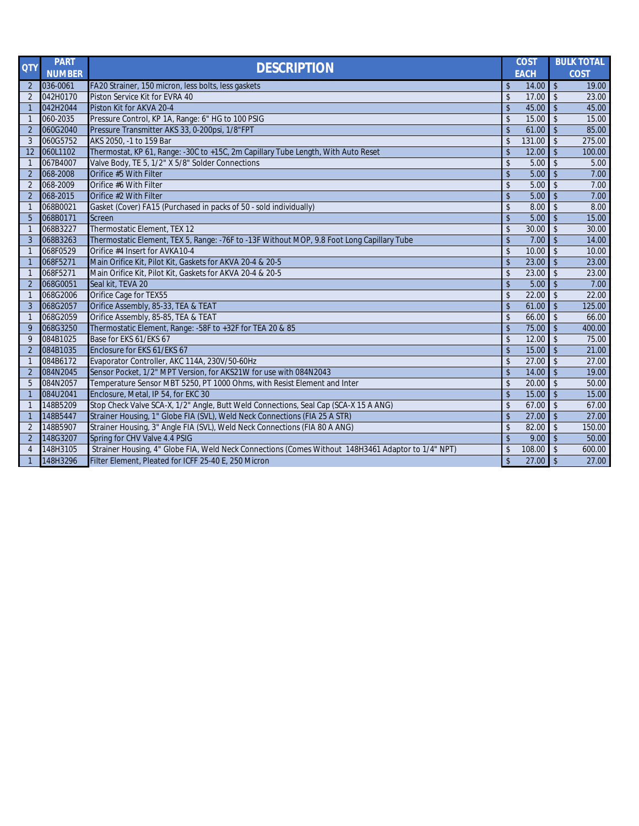| <b>QTY</b>     | <b>PART</b>   | <b>DESCRIPTION</b>                                                                                 |                    | <b>COST</b> |                    | <b>BULK TOTAL</b> |
|----------------|---------------|----------------------------------------------------------------------------------------------------|--------------------|-------------|--------------------|-------------------|
|                | <b>NUMBER</b> |                                                                                                    |                    | <b>EACH</b> |                    | <b>COST</b>       |
| $\overline{2}$ | 036-0061      | FA20 Strainer, 150 micron, less bolts, less gaskets                                                | \$                 | 14.00       | $\mathbf{\hat{S}}$ | 19.00             |
| $\overline{2}$ | 042H0170      | Piston Service Kit for EVRA 40                                                                     | $\mathsf{\$}$      | 17.00       | $\mathbf{\hat{S}}$ | 23.00             |
| $\overline{1}$ | 042H2044      | Piston Kit for AKVA 20-4                                                                           | $\mathsf{\$}$      | 45.00       | $\mathbf{\hat{S}}$ | 45.00             |
| -1             | 060-2035      | Pressure Control, KP 1A, Range: 6" HG to 100 PSIG                                                  | $\mathsf{\$}$      | 15.00       | $\mathbf{\hat{S}}$ | 15.00             |
| $\overline{2}$ | 060G2040      | Pressure Transmitter AKS 33, 0-200psi, 1/8"FPT                                                     | $\mathfrak{S}$     | 61.00       | $\mathbf{\hat{S}}$ | 85.00             |
| 3              | 060G5752      | AKS 2050, -1 to 159 Bar                                                                            | $\mathfrak{S}$     | 131.00      | $\mathcal{S}$      | 275.00            |
| 12             | 060L1102      | Thermostat, KP 61, Range: - 30C to +15C, 2m Capillary Tube Length, With Auto Reset                 | $\mathbf{\hat{S}}$ | 12.00       | $\mathbf{\hat{S}}$ | 100.00            |
| -1             | 067B4007      | Valve Body, TE 5, 1/2" X 5/8" Solder Connections                                                   | $\mathsf{\$}$      | 5.00        | $\mathbf{\hat{S}}$ | 5.00              |
| $\overline{2}$ | 068-2008      | Orifice #5 With Filter                                                                             | $\mathsf{\$}$      | 5.00        | $\mathbf{\hat{S}}$ | 7.00              |
| $\overline{2}$ | 068-2009      | Orifice #6 With Filter                                                                             | \$                 | 5.00        | $\mathbf{\hat{S}}$ | 7.00              |
| $\overline{2}$ | 068-2015      | Orifice #2 With Filter                                                                             | $\mathsf{\$}$      | 5.00        | $\mathfrak{L}$     | 7.00              |
| $\mathbf 1$    | 068B0021      | Gasket (Cover) FA15 (Purchased in packs of 50 - sold individually)                                 | \$                 | 8.00        |                    | 8.00              |
| 5              | 068B0171      | Screen                                                                                             | $\mathsf{\$}$      | 5.00        | $\mathbf{\hat{S}}$ | 15.00             |
| -1             | 068B3227      | Thermostatic Element, TEX 12                                                                       | \$                 | 30.00       | $\mathbf{\hat{S}}$ | 30.00             |
| 3              | 068B3263      | Thermostatic Element, TEX 5, Range: - 76F to -13F Without MOP, 9.8 Foot Long Capillary Tube        | $\mathsf{\$}$      | 7.00        | $\mathbf{\hat{S}}$ | 14.00             |
| -1             | 068F0529      | Orifice #4 Insert for AVKA10-4                                                                     | $\mathfrak{S}$     | 10.00       | $\mathbf{\hat{S}}$ | 10.00             |
| -1             | 068F5271      | Main Orifice Kit, Pilot Kit, Gaskets for AKVA 20-4 & 20-5                                          | $\mathbf{\hat{S}}$ | 23.00       | $\mathbf{\hat{S}}$ | 23.00             |
| -1             | 068F5271      | Main Orifice Kit, Pilot Kit, Gaskets for AKVA 20-4 & 20-5                                          | $\mathsf{\$}$      | 23.00       | $\mathfrak{L}$     | 23.00             |
| $\overline{2}$ | 068G0051      | Seal kit, TEVA 20                                                                                  | $\mathbf{\hat{S}}$ | 5.00        | $\hat{\mathbf{r}}$ | 7.00              |
| -1             | 068G2006      | Orifice Cage for TEX55                                                                             | $\mathfrak{L}$     | 22.00       | $\mathfrak{L}$     | 22.00             |
| 3              | 068G2057      | Orifice Assembly, 85-33, TEA & TEAT                                                                | $\mathbf{\hat{S}}$ | 61.00       | $\mathfrak{L}$     | 125.00            |
| $\mathbf 1$    | 068G2059      | Orifice Assembly, 85-85, TEA & TEAT                                                                | \$                 | 66.00       | $\mathbf{\hat{S}}$ | 66.00             |
| 9              | 068G3250      | Thermostatic Element, Range: - 58F to +32F for TEA 20 & 85                                         | $\mathsf{\$}$      | 75.00       | $\mathbf{\hat{S}}$ | 400.00            |
| 9              | 084B1025      | Base for EKS 61/EKS 67                                                                             | \$                 | 12.00       | $\mathfrak{L}$     | 75.00             |
| $\overline{2}$ | 084B1035      | Enclosure for EKS 61/EKS 67                                                                        | $\mathsf{\$}$      | 15.00       | $\mathsf{\$}$      | 21.00             |
| -1             | 084B6172      | Evaporator Controller, AKC 114A, 230V/50-60Hz                                                      | \$                 | 27.00       | $\mathfrak{L}$     | 27.00             |
| $\overline{2}$ | 084N2045      | Sensor Pocket, 1/2" MPT Version, for AKS21W for use with 084N2043                                  | $\mathsf{\$}$      | 14.00       |                    | 19.00             |
| 5              | 084N2057      | Temperature Sensor MBT 5250, PT 1000 Ohms, with Resist Element and Inter                           | \$                 | 20.00       | $\hat{\mathbf{r}}$ | 50.00             |
| -1             | 084U2041      | Enclosure, Metal, IP 54, for EKC 30                                                                | $\mathbf{\hat{S}}$ | 15.00       | $\mathbf{\hat{S}}$ | 15.00             |
| $\mathbf 1$    | 148B5209      | Stop Check Valve SCA-X, 1/2" Angle, Butt Weld Connections, Seal Cap (SCA-X 15 A ANG)               | $\mathfrak{S}$     | 67.00       | $\mathsf{\$}$      | 67.00             |
| -1             | 148B5447      | Strainer Housing, 1" Globe FIA (SVL), Weld Neck Connections (FIA 25 A STR)                         | \$                 | 27.00       | $\mathsf{\$}$      | 27.00             |
| $\overline{2}$ | 148B5907      | Strainer Housing, 3" Angle FIA (SVL), Weld Neck Connections (FIA 80 A ANG)                         | \$                 | 82.00       | $\mathsf{\$}$      | 150.00            |
| $\overline{2}$ | 148G3207      | Spring for CHV Valve 4.4 PSIG                                                                      | $\mathsf{\$}$      | 9.00        | $\mathsf{\$}$      | 50.00             |
| $\overline{4}$ | 148H3105      | Strainer Housing, 4" Globe FIA, Weld Neck Connections (Comes Without 148H3461 Adaptor to 1/4" NPT) | \$                 | 108.00      | $\mathfrak{L}$     | 600.00            |
| $\mathbf 1$    | 148H3296      | Filter Element, Pleated for ICFF 25-40 E, 250 Micron                                               | $\sqrt{2}$         | 27.00       | $\mathsf{\$}$      | 27.00             |